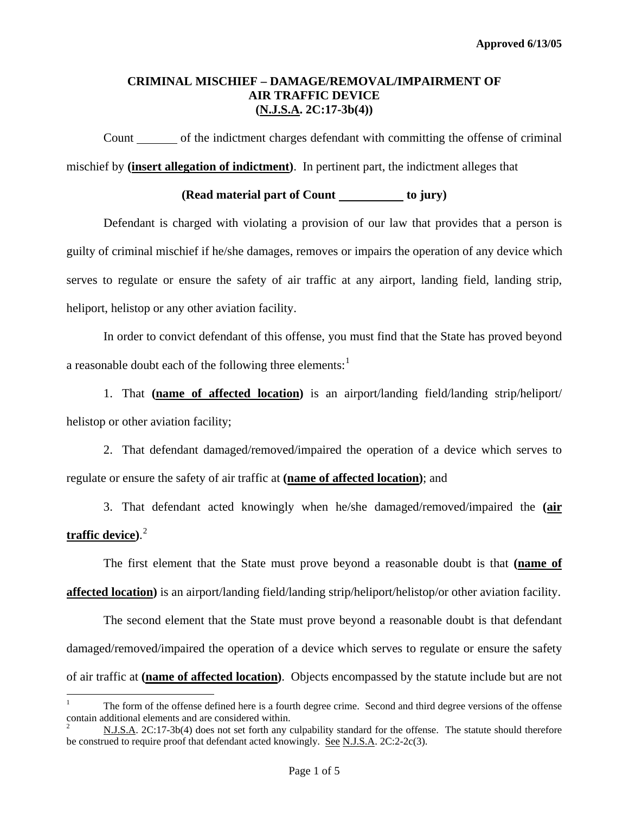Count of the indictment charges defendant with committing the offense of criminal mischief by **(insert allegation of indictment)**. In pertinent part, the indictment alleges that

### **(Read material part of Count to jury)**

 Defendant is charged with violating a provision of our law that provides that a person is guilty of criminal mischief if he/she damages, removes or impairs the operation of any device which serves to regulate or ensure the safety of air traffic at any airport, landing field, landing strip, heliport, helistop or any other aviation facility.

In order to convict defendant of this offense, you must find that the State has proved beyond a reasonable doubt each of the following three elements: $<sup>1</sup>$  $<sup>1</sup>$  $<sup>1</sup>$ </sup>

1. That **(name of affected location)** is an airport/landing field/landing strip/heliport/ helistop or other aviation facility;

 2. That defendant damaged/removed/impaired the operation of a device which serves to regulate or ensure the safety of air traffic at **(name of affected location)**; and

 3. That defendant acted knowingly when he/she damaged/removed/impaired the **(air traffic device)**. [2](#page-0-0)

 The first element that the State must prove beyond a reasonable doubt is that **(name of affected location)** is an airport/landing field/landing strip/heliport/helistop/or other aviation facility.

 The second element that the State must prove beyond a reasonable doubt is that defendant damaged/removed/impaired the operation of a device which serves to regulate or ensure the safety of air traffic at **(name of affected location)**. Objects encompassed by the statute include but are not

 $\frac{1}{1}$  The form of the offense defined here is a fourth degree crime. Second and third degree versions of the offense contain additional elements and are considered within.

<span id="page-0-0"></span><sup>2</sup> N.J.S.A. 2C:17-3b(4) does not set forth any culpability standard for the offense. The statute should therefore be construed to require proof that defendant acted knowingly. See N.J.S.A. 2C:2-2c(3).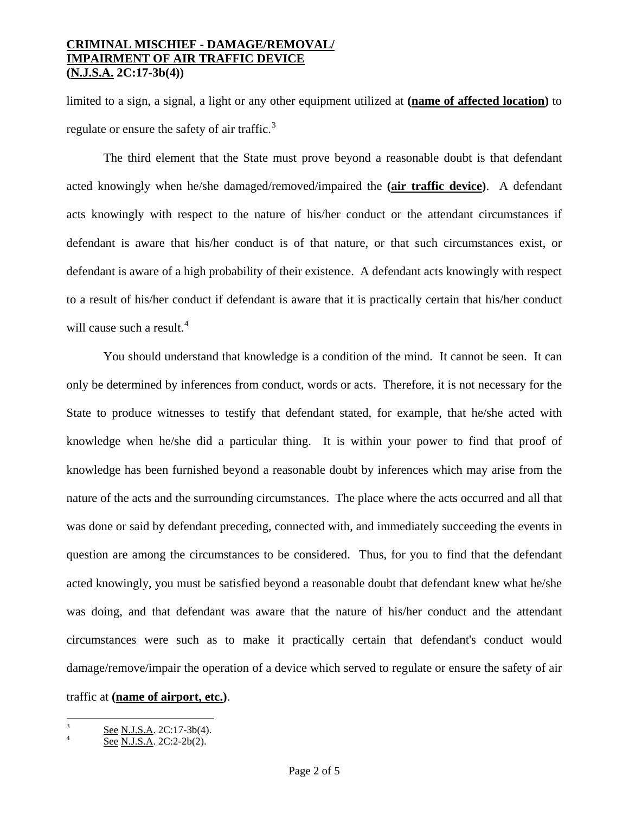limited to a sign, a signal, a light or any other equipment utilized at **(name of affected location)** to regulate or ensure the safety of air traffic. $3$ 

 The third element that the State must prove beyond a reasonable doubt is that defendant acted knowingly when he/she damaged/removed/impaired the **(air traffic device)**. A defendant acts knowingly with respect to the nature of his/her conduct or the attendant circumstances if defendant is aware that his/her conduct is of that nature, or that such circumstances exist, or defendant is aware of a high probability of their existence. A defendant acts knowingly with respect to a result of his/her conduct if defendant is aware that it is practically certain that his/her conduct will cause such a result.<sup>[4](#page-1-0)</sup>

 You should understand that knowledge is a condition of the mind. It cannot be seen. It can only be determined by inferences from conduct, words or acts. Therefore, it is not necessary for the State to produce witnesses to testify that defendant stated, for example, that he/she acted with knowledge when he/she did a particular thing. It is within your power to find that proof of knowledge has been furnished beyond a reasonable doubt by inferences which may arise from the nature of the acts and the surrounding circumstances. The place where the acts occurred and all that was done or said by defendant preceding, connected with, and immediately succeeding the events in question are among the circumstances to be considered. Thus, for you to find that the defendant acted knowingly, you must be satisfied beyond a reasonable doubt that defendant knew what he/she was doing, and that defendant was aware that the nature of his/her conduct and the attendant circumstances were such as to make it practically certain that defendant's conduct would damage/remove/impair the operation of a device which served to regulate or ensure the safety of air traffic at **(name of airport, etc.)**.

<span id="page-1-1"></span> 3 See N.J.S.A. 2C:17-3b(4).

<span id="page-1-0"></span>See N.J.S.A. 2C:2-2b(2).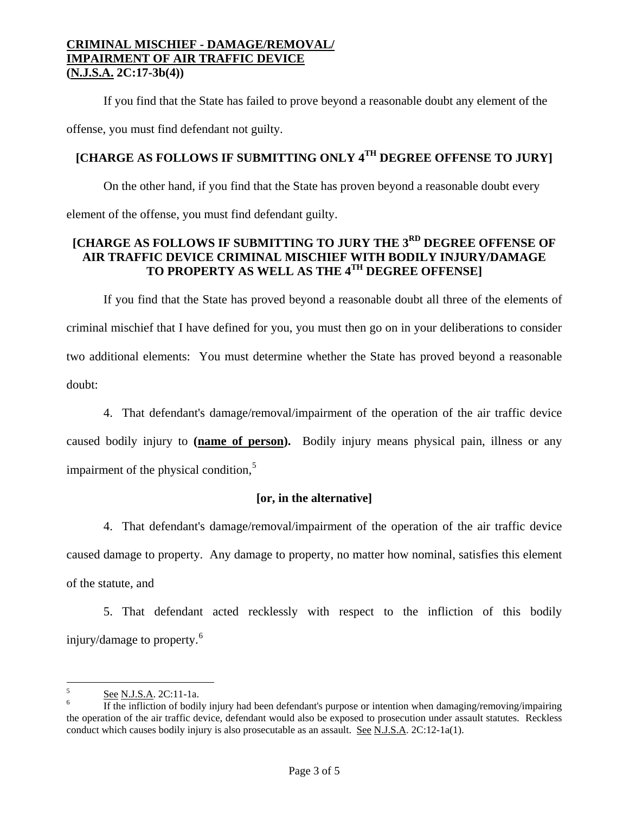If you find that the State has failed to prove beyond a reasonable doubt any element of the offense, you must find defendant not guilty.

# **[CHARGE AS FOLLOWS IF SUBMITTING ONLY 4TH DEGREE OFFENSE TO JURY]**

 On the other hand, if you find that the State has proven beyond a reasonable doubt every element of the offense, you must find defendant guilty.

### **[CHARGE AS FOLLOWS IF SUBMITTING TO JURY THE 3RD DEGREE OFFENSE OF AIR TRAFFIC DEVICE CRIMINAL MISCHIEF WITH BODILY INJURY/DAMAGE TO PROPERTY AS WELL AS THE 4TH DEGREE OFFENSE]**

 If you find that the State has proved beyond a reasonable doubt all three of the elements of criminal mischief that I have defined for you, you must then go on in your deliberations to consider two additional elements: You must determine whether the State has proved beyond a reasonable doubt:

 4. That defendant's damage/removal/impairment of the operation of the air traffic device caused bodily injury to **(name of person).** Bodily injury means physical pain, illness or any impairment of the physical condition, $<sup>5</sup>$  $<sup>5</sup>$  $<sup>5</sup>$ </sup>

# **[or, in the alternative]**

 4. That defendant's damage/removal/impairment of the operation of the air traffic device caused damage to property. Any damage to property, no matter how nominal, satisfies this element of the statute, and

 5. That defendant acted recklessly with respect to the infliction of this bodily injury/damage to property.<sup>[6](#page-2-0)</sup>

 $\frac{1}{5}$  $\frac{5}{6}$  See N.J.S.A. 2C:11-1a.

<span id="page-2-1"></span><span id="page-2-0"></span>If the infliction of bodily injury had been defendant's purpose or intention when damaging/removing/impairing the operation of the air traffic device, defendant would also be exposed to prosecution under assault statutes. Reckless conduct which causes bodily injury is also prosecutable as an assault. See N.J.S.A. 2C:12-1a(1).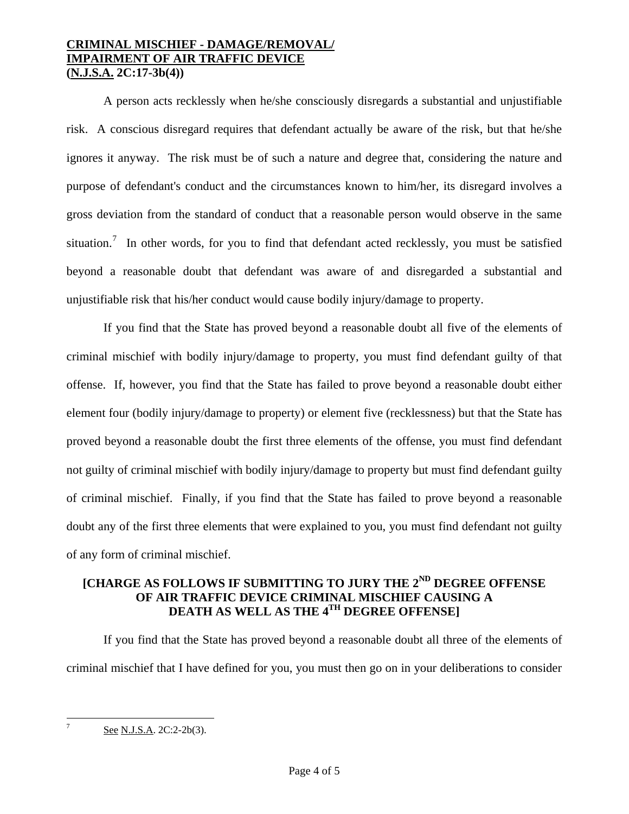A person acts recklessly when he/she consciously disregards a substantial and unjustifiable risk. A conscious disregard requires that defendant actually be aware of the risk, but that he/she ignores it anyway. The risk must be of such a nature and degree that, considering the nature and purpose of defendant's conduct and the circumstances known to him/her, its disregard involves a gross deviation from the standard of conduct that a reasonable person would observe in the same situation.<sup>[7](#page-2-1)</sup> In other words, for you to find that defendant acted recklessly, you must be satisfied beyond a reasonable doubt that defendant was aware of and disregarded a substantial and unjustifiable risk that his/her conduct would cause bodily injury/damage to property.

 If you find that the State has proved beyond a reasonable doubt all five of the elements of criminal mischief with bodily injury/damage to property, you must find defendant guilty of that offense. If, however, you find that the State has failed to prove beyond a reasonable doubt either element four (bodily injury/damage to property) or element five (recklessness) but that the State has proved beyond a reasonable doubt the first three elements of the offense, you must find defendant not guilty of criminal mischief with bodily injury/damage to property but must find defendant guilty of criminal mischief. Finally, if you find that the State has failed to prove beyond a reasonable doubt any of the first three elements that were explained to you, you must find defendant not guilty of any form of criminal mischief.

# **[CHARGE AS FOLLOWS IF SUBMITTING TO JURY THE 2ND DEGREE OFFENSE OF AIR TRAFFIC DEVICE CRIMINAL MISCHIEF CAUSING A DEATH AS WELL AS THE 4TH DEGREE OFFENSE]**

 If you find that the State has proved beyond a reasonable doubt all three of the elements of criminal mischief that I have defined for you, you must then go on in your deliberations to consider

<span id="page-3-1"></span><span id="page-3-0"></span><sup>-</sup>

See N.J.S.A. 2C:2-2b(3).